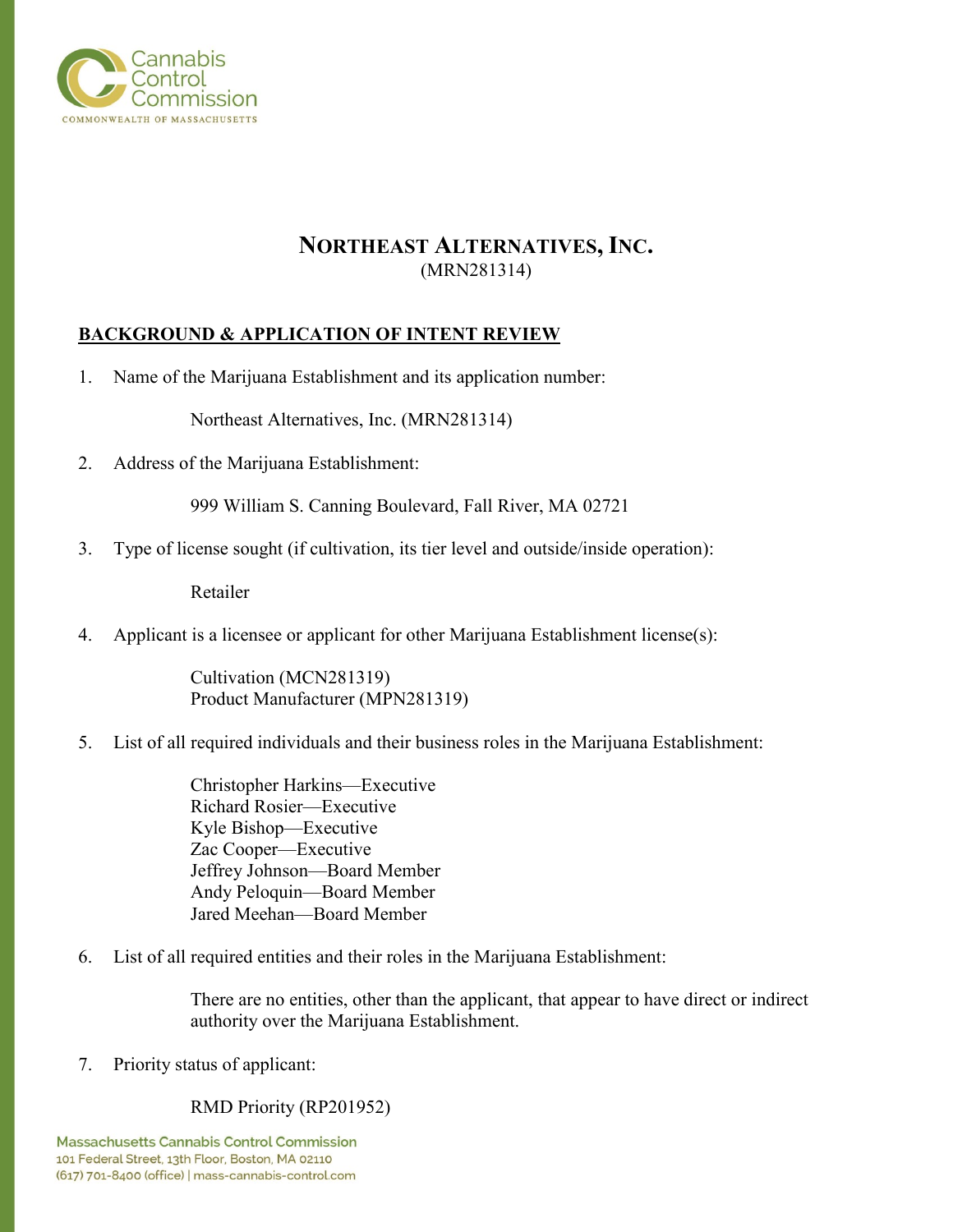

### **NORTHEAST ALTERNATIVES, INC.** (MRN281314)

### **BACKGROUND & APPLICATION OF INTENT REVIEW**

1. Name of the Marijuana Establishment and its application number:

Northeast Alternatives, Inc. (MRN281314)

2. Address of the Marijuana Establishment:

999 William S. Canning Boulevard, Fall River, MA 02721

3. Type of license sought (if cultivation, its tier level and outside/inside operation):

Retailer

4. Applicant is a licensee or applicant for other Marijuana Establishment license(s):

Cultivation (MCN281319) Product Manufacturer (MPN281319)

5. List of all required individuals and their business roles in the Marijuana Establishment:

Christopher Harkins—Executive Richard Rosier—Executive Kyle Bishop—Executive Zac Cooper—Executive Jeffrey Johnson—Board Member Andy Peloquin—Board Member Jared Meehan—Board Member

6. List of all required entities and their roles in the Marijuana Establishment:

There are no entities, other than the applicant, that appear to have direct or indirect authority over the Marijuana Establishment.

7. Priority status of applicant:

RMD Priority (RP201952)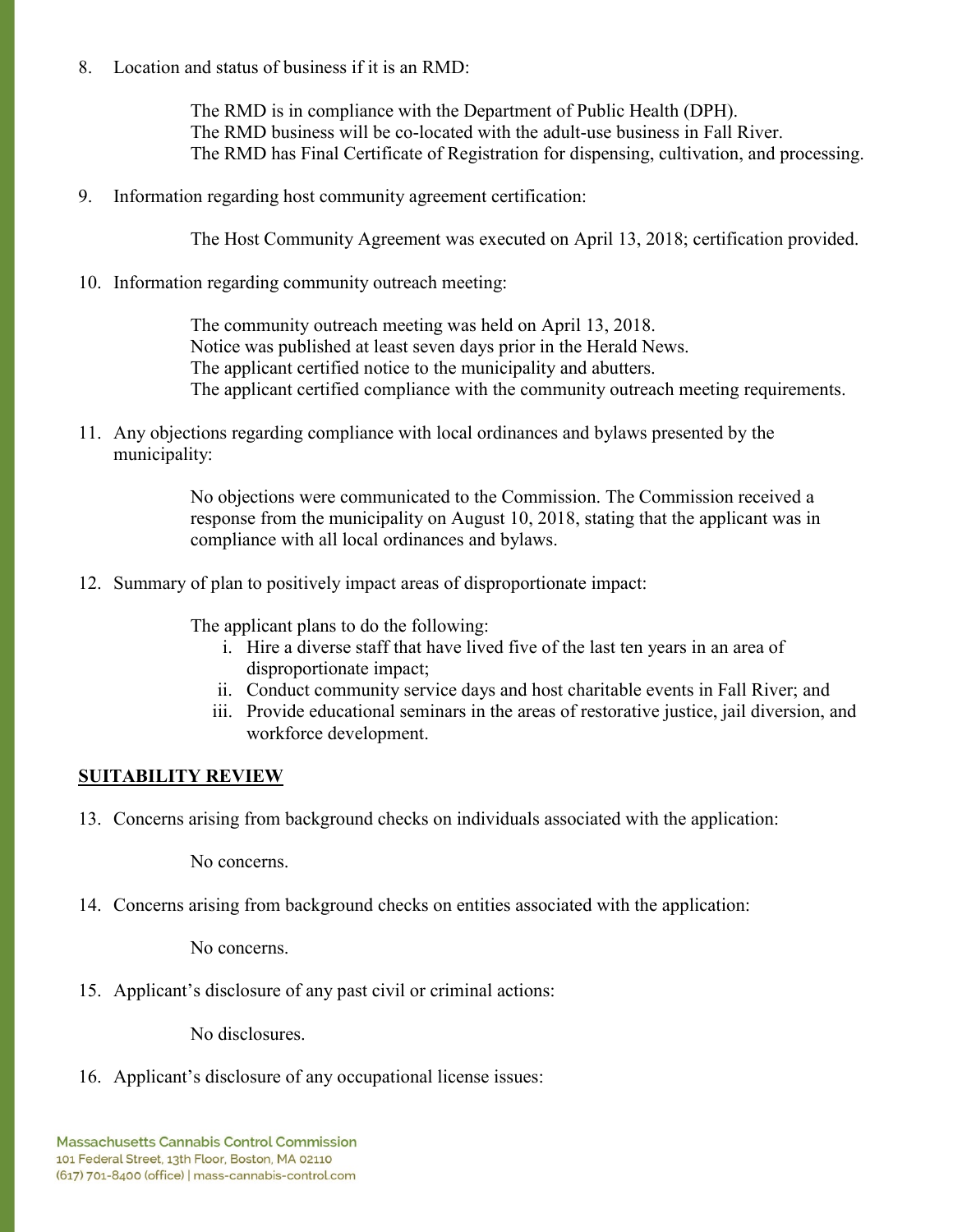8. Location and status of business if it is an RMD:

The RMD is in compliance with the Department of Public Health (DPH). The RMD business will be co-located with the adult-use business in Fall River. The RMD has Final Certificate of Registration for dispensing, cultivation, and processing.

9. Information regarding host community agreement certification:

The Host Community Agreement was executed on April 13, 2018; certification provided.

10. Information regarding community outreach meeting:

The community outreach meeting was held on April 13, 2018. Notice was published at least seven days prior in the Herald News. The applicant certified notice to the municipality and abutters. The applicant certified compliance with the community outreach meeting requirements.

11. Any objections regarding compliance with local ordinances and bylaws presented by the municipality:

> No objections were communicated to the Commission. The Commission received a response from the municipality on August 10, 2018, stating that the applicant was in compliance with all local ordinances and bylaws.

12. Summary of plan to positively impact areas of disproportionate impact:

The applicant plans to do the following:

- i. Hire a diverse staff that have lived five of the last ten years in an area of disproportionate impact;
- ii. Conduct community service days and host charitable events in Fall River; and
- iii. Provide educational seminars in the areas of restorative justice, jail diversion, and workforce development.

### **SUITABILITY REVIEW**

13. Concerns arising from background checks on individuals associated with the application:

No concerns.

14. Concerns arising from background checks on entities associated with the application:

No concerns.

15. Applicant's disclosure of any past civil or criminal actions:

No disclosures.

16. Applicant's disclosure of any occupational license issues: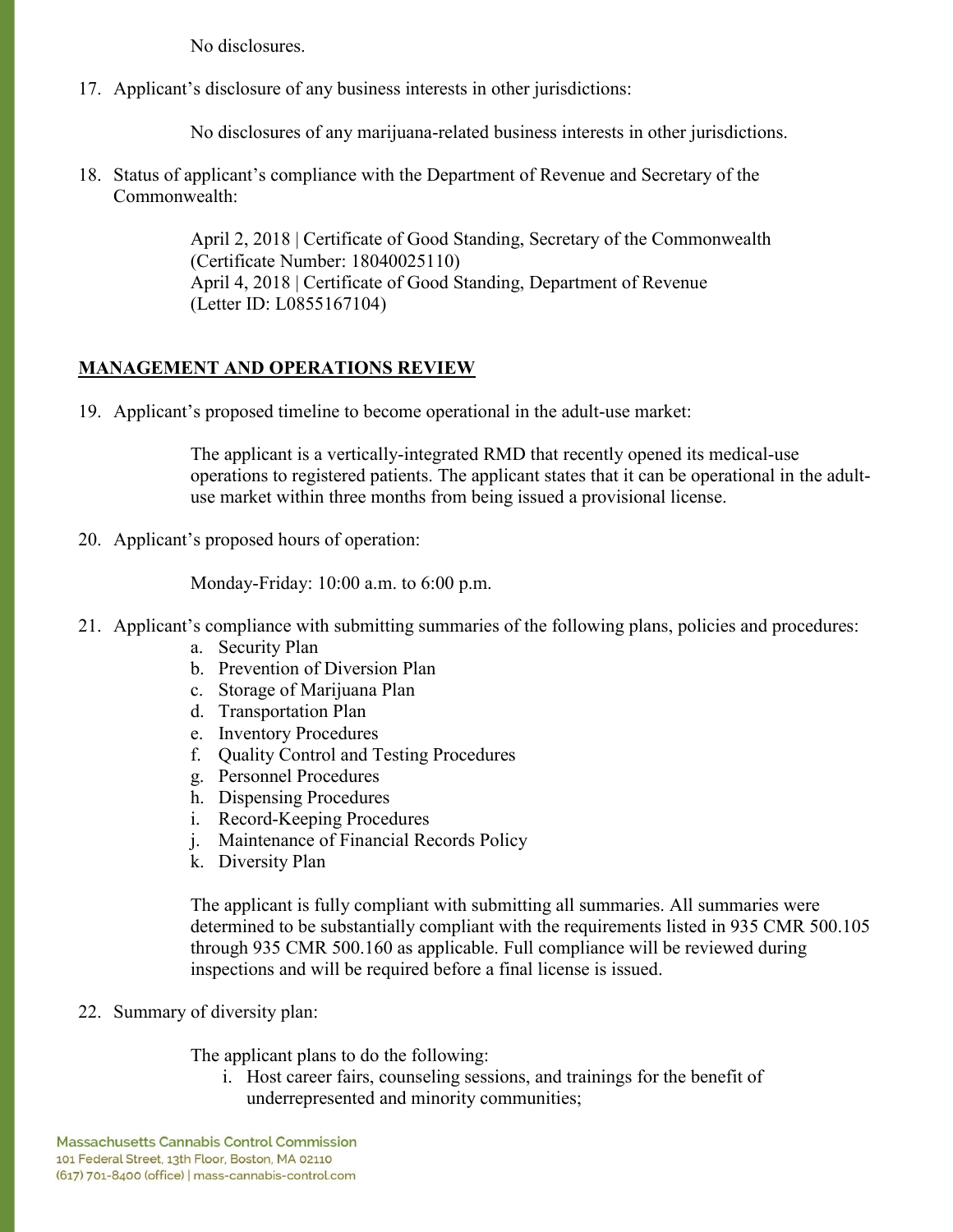No disclosures.

17. Applicant's disclosure of any business interests in other jurisdictions:

No disclosures of any marijuana-related business interests in other jurisdictions.

18. Status of applicant's compliance with the Department of Revenue and Secretary of the Commonwealth:

> April 2, 2018 | Certificate of Good Standing, Secretary of the Commonwealth (Certificate Number: 18040025110) April 4, 2018 | Certificate of Good Standing, Department of Revenue (Letter ID: L0855167104)

## **MANAGEMENT AND OPERATIONS REVIEW**

19. Applicant's proposed timeline to become operational in the adult-use market:

The applicant is a vertically-integrated RMD that recently opened its medical-use operations to registered patients. The applicant states that it can be operational in the adultuse market within three months from being issued a provisional license.

20. Applicant's proposed hours of operation:

Monday-Friday: 10:00 a.m. to 6:00 p.m.

- 21. Applicant's compliance with submitting summaries of the following plans, policies and procedures:
	- a. Security Plan
	- b. Prevention of Diversion Plan
	- c. Storage of Marijuana Plan
	- d. Transportation Plan
	- e. Inventory Procedures
	- f. Quality Control and Testing Procedures
	- g. Personnel Procedures
	- h. Dispensing Procedures
	- i. Record-Keeping Procedures
	- j. Maintenance of Financial Records Policy
	- k. Diversity Plan

The applicant is fully compliant with submitting all summaries. All summaries were determined to be substantially compliant with the requirements listed in 935 CMR 500.105 through 935 CMR 500.160 as applicable. Full compliance will be reviewed during inspections and will be required before a final license is issued.

# 22. Summary of diversity plan:

The applicant plans to do the following:

i. Host career fairs, counseling sessions, and trainings for the benefit of underrepresented and minority communities;